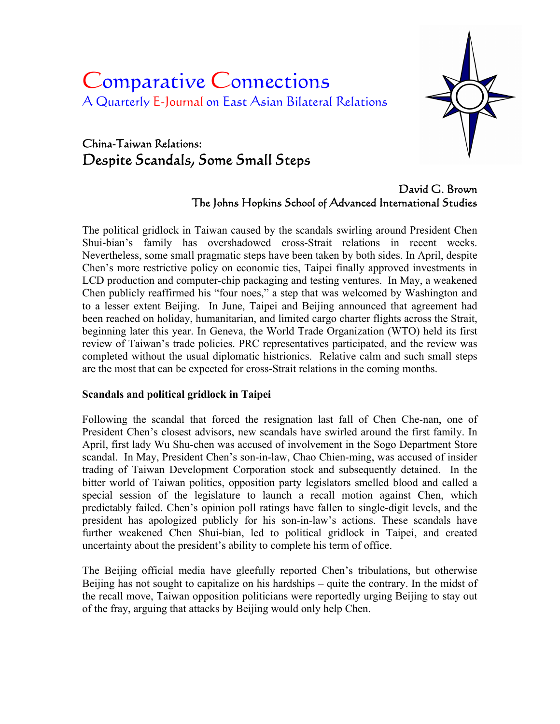# Comparative Connections A Quarterly E-Journal on East Asian Bilateral Relations



# China-Taiwan Relations: Despite Scandals, Some Small Steps

David G. Brown The Johns Hopkins School of Advanced International Studies

The political gridlock in Taiwan caused by the scandals swirling around President Chen Shui-bian's family has overshadowed cross-Strait relations in recent weeks. Nevertheless, some small pragmatic steps have been taken by both sides. In April, despite Chen's more restrictive policy on economic ties, Taipei finally approved investments in LCD production and computer-chip packaging and testing ventures. In May, a weakened Chen publicly reaffirmed his "four noes," a step that was welcomed by Washington and to a lesser extent Beijing. In June, Taipei and Beijing announced that agreement had been reached on holiday, humanitarian, and limited cargo charter flights across the Strait, beginning later this year. In Geneva, the World Trade Organization (WTO) held its first review of Taiwan's trade policies. PRC representatives participated, and the review was completed without the usual diplomatic histrionics. Relative calm and such small steps are the most that can be expected for cross-Strait relations in the coming months.

## **Scandals and political gridlock in Taipei**

Following the scandal that forced the resignation last fall of Chen Che-nan, one of President Chen's closest advisors, new scandals have swirled around the first family. In April, first lady Wu Shu-chen was accused of involvement in the Sogo Department Store scandal. In May, President Chen's son-in-law, Chao Chien-ming, was accused of insider trading of Taiwan Development Corporation stock and subsequently detained. In the bitter world of Taiwan politics, opposition party legislators smelled blood and called a special session of the legislature to launch a recall motion against Chen, which predictably failed. Chen's opinion poll ratings have fallen to single-digit levels, and the president has apologized publicly for his son-in-law's actions. These scandals have further weakened Chen Shui-bian, led to political gridlock in Taipei, and created uncertainty about the president's ability to complete his term of office.

The Beijing official media have gleefully reported Chen's tribulations, but otherwise Beijing has not sought to capitalize on his hardships – quite the contrary. In the midst of the recall move, Taiwan opposition politicians were reportedly urging Beijing to stay out of the fray, arguing that attacks by Beijing would only help Chen.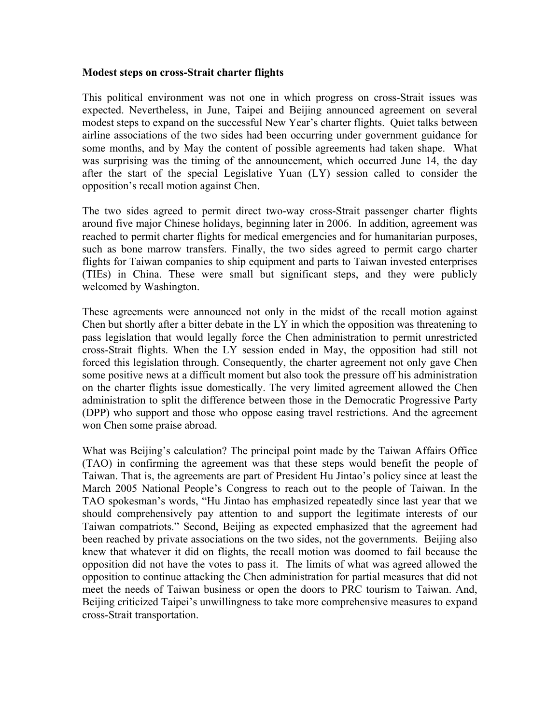#### **Modest steps on cross-Strait charter flights**

This political environment was not one in which progress on cross-Strait issues was expected. Nevertheless, in June, Taipei and Beijing announced agreement on several modest steps to expand on the successful New Year's charter flights. Quiet talks between airline associations of the two sides had been occurring under government guidance for some months, and by May the content of possible agreements had taken shape. What was surprising was the timing of the announcement, which occurred June 14, the day after the start of the special Legislative Yuan (LY) session called to consider the opposition's recall motion against Chen.

The two sides agreed to permit direct two-way cross-Strait passenger charter flights around five major Chinese holidays, beginning later in 2006. In addition, agreement was reached to permit charter flights for medical emergencies and for humanitarian purposes, such as bone marrow transfers. Finally, the two sides agreed to permit cargo charter flights for Taiwan companies to ship equipment and parts to Taiwan invested enterprises (TIEs) in China. These were small but significant steps, and they were publicly welcomed by Washington.

These agreements were announced not only in the midst of the recall motion against Chen but shortly after a bitter debate in the LY in which the opposition was threatening to pass legislation that would legally force the Chen administration to permit unrestricted cross-Strait flights. When the LY session ended in May, the opposition had still not forced this legislation through. Consequently, the charter agreement not only gave Chen some positive news at a difficult moment but also took the pressure off his administration on the charter flights issue domestically. The very limited agreement allowed the Chen administration to split the difference between those in the Democratic Progressive Party (DPP) who support and those who oppose easing travel restrictions. And the agreement won Chen some praise abroad.

What was Beijing's calculation? The principal point made by the Taiwan Affairs Office (TAO) in confirming the agreement was that these steps would benefit the people of Taiwan. That is, the agreements are part of President Hu Jintao's policy since at least the March 2005 National People's Congress to reach out to the people of Taiwan. In the TAO spokesman's words, "Hu Jintao has emphasized repeatedly since last year that we should comprehensively pay attention to and support the legitimate interests of our Taiwan compatriots." Second, Beijing as expected emphasized that the agreement had been reached by private associations on the two sides, not the governments. Beijing also knew that whatever it did on flights, the recall motion was doomed to fail because the opposition did not have the votes to pass it. The limits of what was agreed allowed the opposition to continue attacking the Chen administration for partial measures that did not meet the needs of Taiwan business or open the doors to PRC tourism to Taiwan. And, Beijing criticized Taipei's unwillingness to take more comprehensive measures to expand cross-Strait transportation.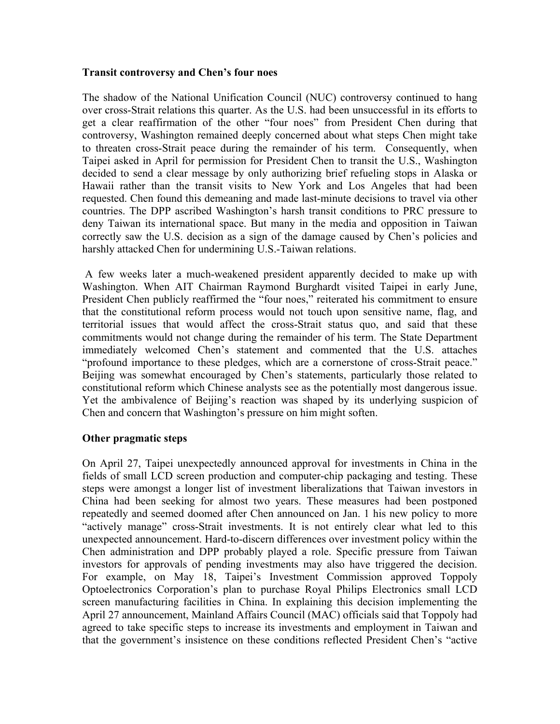#### **Transit controversy and Chen's four noes**

The shadow of the National Unification Council (NUC) controversy continued to hang over cross-Strait relations this quarter. As the U.S. had been unsuccessful in its efforts to get a clear reaffirmation of the other "four noes" from President Chen during that controversy, Washington remained deeply concerned about what steps Chen might take to threaten cross-Strait peace during the remainder of his term. Consequently, when Taipei asked in April for permission for President Chen to transit the U.S., Washington decided to send a clear message by only authorizing brief refueling stops in Alaska or Hawaii rather than the transit visits to New York and Los Angeles that had been requested. Chen found this demeaning and made last-minute decisions to travel via other countries. The DPP ascribed Washington's harsh transit conditions to PRC pressure to deny Taiwan its international space. But many in the media and opposition in Taiwan correctly saw the U.S. decision as a sign of the damage caused by Chen's policies and harshly attacked Chen for undermining U.S.-Taiwan relations.

 A few weeks later a much-weakened president apparently decided to make up with Washington. When AIT Chairman Raymond Burghardt visited Taipei in early June, President Chen publicly reaffirmed the "four noes," reiterated his commitment to ensure that the constitutional reform process would not touch upon sensitive name, flag, and territorial issues that would affect the cross-Strait status quo, and said that these commitments would not change during the remainder of his term. The State Department immediately welcomed Chen's statement and commented that the U.S. attaches "profound importance to these pledges, which are a cornerstone of cross-Strait peace." Beijing was somewhat encouraged by Chen's statements, particularly those related to constitutional reform which Chinese analysts see as the potentially most dangerous issue. Yet the ambivalence of Beijing's reaction was shaped by its underlying suspicion of Chen and concern that Washington's pressure on him might soften.

## **Other pragmatic steps**

On April 27, Taipei unexpectedly announced approval for investments in China in the fields of small LCD screen production and computer-chip packaging and testing. These steps were amongst a longer list of investment liberalizations that Taiwan investors in China had been seeking for almost two years. These measures had been postponed repeatedly and seemed doomed after Chen announced on Jan. 1 his new policy to more "actively manage" cross-Strait investments. It is not entirely clear what led to this unexpected announcement. Hard-to-discern differences over investment policy within the Chen administration and DPP probably played a role. Specific pressure from Taiwan investors for approvals of pending investments may also have triggered the decision. For example, on May 18, Taipei's Investment Commission approved Toppoly Optoelectronics Corporation's plan to purchase Royal Philips Electronics small LCD screen manufacturing facilities in China. In explaining this decision implementing the April 27 announcement, Mainland Affairs Council (MAC) officials said that Toppoly had agreed to take specific steps to increase its investments and employment in Taiwan and that the government's insistence on these conditions reflected President Chen's "active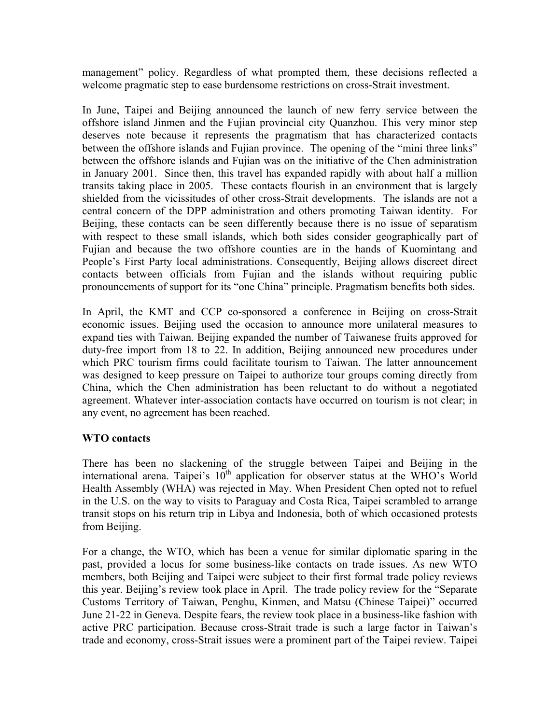management" policy. Regardless of what prompted them, these decisions reflected a welcome pragmatic step to ease burdensome restrictions on cross-Strait investment.

In June, Taipei and Beijing announced the launch of new ferry service between the offshore island Jinmen and the Fujian provincial city Quanzhou. This very minor step deserves note because it represents the pragmatism that has characterized contacts between the offshore islands and Fujian province. The opening of the "mini three links" between the offshore islands and Fujian was on the initiative of the Chen administration in January 2001. Since then, this travel has expanded rapidly with about half a million transits taking place in 2005. These contacts flourish in an environment that is largely shielded from the vicissitudes of other cross-Strait developments. The islands are not a central concern of the DPP administration and others promoting Taiwan identity. For Beijing, these contacts can be seen differently because there is no issue of separatism with respect to these small islands, which both sides consider geographically part of Fujian and because the two offshore counties are in the hands of Kuomintang and People's First Party local administrations. Consequently, Beijing allows discreet direct contacts between officials from Fujian and the islands without requiring public pronouncements of support for its "one China" principle. Pragmatism benefits both sides.

In April, the KMT and CCP co-sponsored a conference in Beijing on cross-Strait economic issues. Beijing used the occasion to announce more unilateral measures to expand ties with Taiwan. Beijing expanded the number of Taiwanese fruits approved for duty-free import from 18 to 22. In addition, Beijing announced new procedures under which PRC tourism firms could facilitate tourism to Taiwan. The latter announcement was designed to keep pressure on Taipei to authorize tour groups coming directly from China, which the Chen administration has been reluctant to do without a negotiated agreement. Whatever inter-association contacts have occurred on tourism is not clear; in any event, no agreement has been reached.

## **WTO contacts**

There has been no slackening of the struggle between Taipei and Beijing in the international arena. Taipei's  $10^{th}$  application for observer status at the WHO's World Health Assembly (WHA) was rejected in May. When President Chen opted not to refuel in the U.S. on the way to visits to Paraguay and Costa Rica, Taipei scrambled to arrange transit stops on his return trip in Libya and Indonesia, both of which occasioned protests from Beijing.

For a change, the WTO, which has been a venue for similar diplomatic sparing in the past, provided a locus for some business-like contacts on trade issues. As new WTO members, both Beijing and Taipei were subject to their first formal trade policy reviews this year. Beijing's review took place in April. The trade policy review for the "Separate Customs Territory of Taiwan, Penghu, Kinmen, and Matsu (Chinese Taipei)" occurred June 21-22 in Geneva. Despite fears, the review took place in a business-like fashion with active PRC participation. Because cross-Strait trade is such a large factor in Taiwan's trade and economy, cross-Strait issues were a prominent part of the Taipei review. Taipei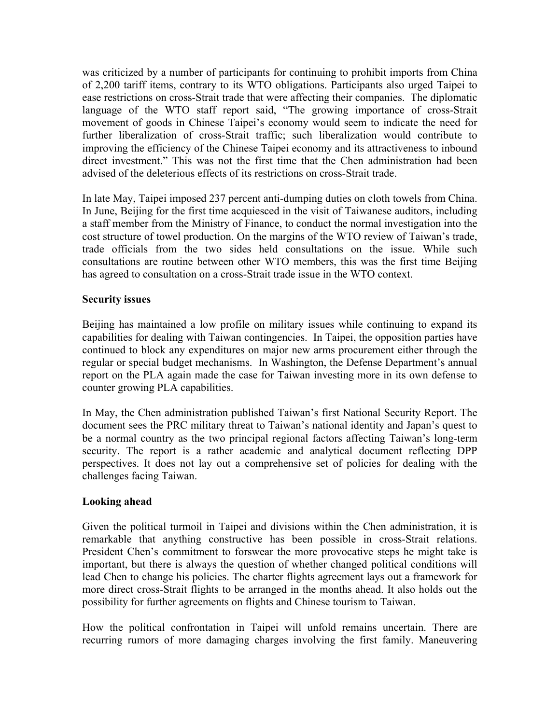was criticized by a number of participants for continuing to prohibit imports from China of 2,200 tariff items, contrary to its WTO obligations. Participants also urged Taipei to ease restrictions on cross-Strait trade that were affecting their companies. The diplomatic language of the WTO staff report said, "The growing importance of cross-Strait movement of goods in Chinese Taipei's economy would seem to indicate the need for further liberalization of cross-Strait traffic; such liberalization would contribute to improving the efficiency of the Chinese Taipei economy and its attractiveness to inbound direct investment." This was not the first time that the Chen administration had been advised of the deleterious effects of its restrictions on cross-Strait trade.

In late May, Taipei imposed 237 percent anti-dumping duties on cloth towels from China. In June, Beijing for the first time acquiesced in the visit of Taiwanese auditors, including a staff member from the Ministry of Finance, to conduct the normal investigation into the cost structure of towel production. On the margins of the WTO review of Taiwan's trade, trade officials from the two sides held consultations on the issue. While such consultations are routine between other WTO members, this was the first time Beijing has agreed to consultation on a cross-Strait trade issue in the WTO context.

#### **Security issues**

Beijing has maintained a low profile on military issues while continuing to expand its capabilities for dealing with Taiwan contingencies. In Taipei, the opposition parties have continued to block any expenditures on major new arms procurement either through the regular or special budget mechanisms. In Washington, the Defense Department's annual report on the PLA again made the case for Taiwan investing more in its own defense to counter growing PLA capabilities.

In May, the Chen administration published Taiwan's first National Security Report. The document sees the PRC military threat to Taiwan's national identity and Japan's quest to be a normal country as the two principal regional factors affecting Taiwan's long-term security. The report is a rather academic and analytical document reflecting DPP perspectives. It does not lay out a comprehensive set of policies for dealing with the challenges facing Taiwan.

#### **Looking ahead**

Given the political turmoil in Taipei and divisions within the Chen administration, it is remarkable that anything constructive has been possible in cross-Strait relations. President Chen's commitment to forswear the more provocative steps he might take is important, but there is always the question of whether changed political conditions will lead Chen to change his policies. The charter flights agreement lays out a framework for more direct cross-Strait flights to be arranged in the months ahead. It also holds out the possibility for further agreements on flights and Chinese tourism to Taiwan.

How the political confrontation in Taipei will unfold remains uncertain. There are recurring rumors of more damaging charges involving the first family. Maneuvering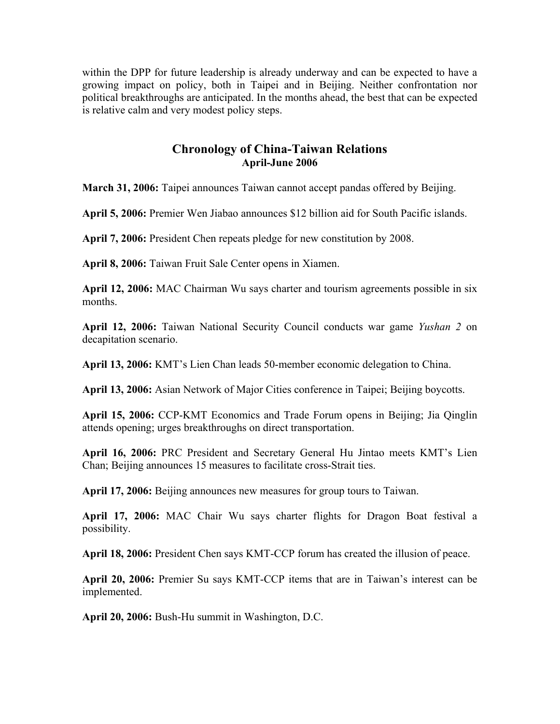within the DPP for future leadership is already underway and can be expected to have a growing impact on policy, both in Taipei and in Beijing. Neither confrontation nor political breakthroughs are anticipated. In the months ahead, the best that can be expected is relative calm and very modest policy steps.

# **Chronology of China-Taiwan Relations April-June 2006**

**March 31, 2006:** Taipei announces Taiwan cannot accept pandas offered by Beijing.

**April 5, 2006:** Premier Wen Jiabao announces \$12 billion aid for South Pacific islands.

**April 7, 2006:** President Chen repeats pledge for new constitution by 2008.

**April 8, 2006:** Taiwan Fruit Sale Center opens in Xiamen.

**April 12, 2006:** MAC Chairman Wu says charter and tourism agreements possible in six months.

**April 12, 2006:** Taiwan National Security Council conducts war game *Yushan 2* on decapitation scenario.

**April 13, 2006:** KMT's Lien Chan leads 50-member economic delegation to China.

**April 13, 2006:** Asian Network of Major Cities conference in Taipei; Beijing boycotts.

**April 15, 2006:** CCP-KMT Economics and Trade Forum opens in Beijing; Jia Qinglin attends opening; urges breakthroughs on direct transportation.

**April 16, 2006:** PRC President and Secretary General Hu Jintao meets KMT's Lien Chan; Beijing announces 15 measures to facilitate cross-Strait ties.

**April 17, 2006:** Beijing announces new measures for group tours to Taiwan.

**April 17, 2006:** MAC Chair Wu says charter flights for Dragon Boat festival a possibility.

**April 18, 2006:** President Chen says KMT-CCP forum has created the illusion of peace.

**April 20, 2006:** Premier Su says KMT-CCP items that are in Taiwan's interest can be implemented.

**April 20, 2006:** Bush-Hu summit in Washington, D.C.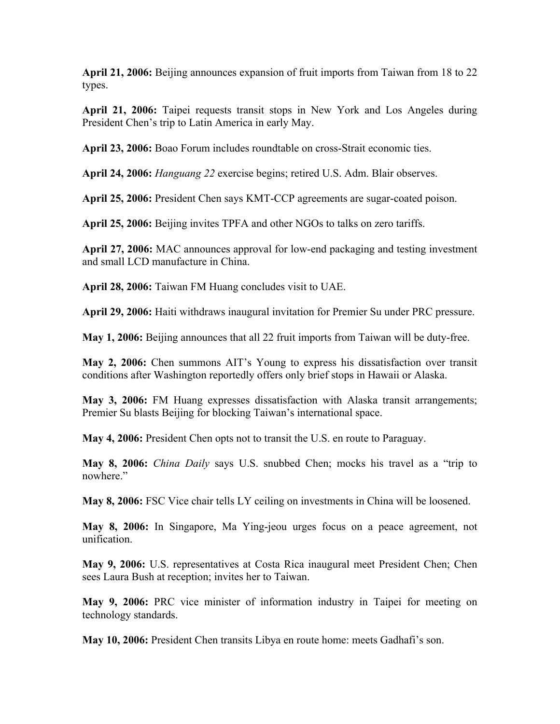**April 21, 2006:** Beijing announces expansion of fruit imports from Taiwan from 18 to 22 types.

**April 21, 2006:** Taipei requests transit stops in New York and Los Angeles during President Chen's trip to Latin America in early May.

**April 23, 2006:** Boao Forum includes roundtable on cross-Strait economic ties.

**April 24, 2006:** *Hanguang 22* exercise begins; retired U.S. Adm. Blair observes.

**April 25, 2006:** President Chen says KMT-CCP agreements are sugar-coated poison.

**April 25, 2006:** Beijing invites TPFA and other NGOs to talks on zero tariffs.

**April 27, 2006:** MAC announces approval for low-end packaging and testing investment and small LCD manufacture in China.

**April 28, 2006:** Taiwan FM Huang concludes visit to UAE.

**April 29, 2006:** Haiti withdraws inaugural invitation for Premier Su under PRC pressure.

**May 1, 2006:** Beijing announces that all 22 fruit imports from Taiwan will be duty-free.

**May 2, 2006:** Chen summons AIT's Young to express his dissatisfaction over transit conditions after Washington reportedly offers only brief stops in Hawaii or Alaska.

**May 3, 2006:** FM Huang expresses dissatisfaction with Alaska transit arrangements; Premier Su blasts Beijing for blocking Taiwan's international space.

**May 4, 2006:** President Chen opts not to transit the U.S. en route to Paraguay.

**May 8, 2006:** *China Daily* says U.S. snubbed Chen; mocks his travel as a "trip to nowhere."

**May 8, 2006:** FSC Vice chair tells LY ceiling on investments in China will be loosened.

**May 8, 2006:** In Singapore, Ma Ying-jeou urges focus on a peace agreement, not unification.

**May 9, 2006:** U.S. representatives at Costa Rica inaugural meet President Chen; Chen sees Laura Bush at reception; invites her to Taiwan.

**May 9, 2006:** PRC vice minister of information industry in Taipei for meeting on technology standards.

**May 10, 2006:** President Chen transits Libya en route home: meets Gadhafi's son.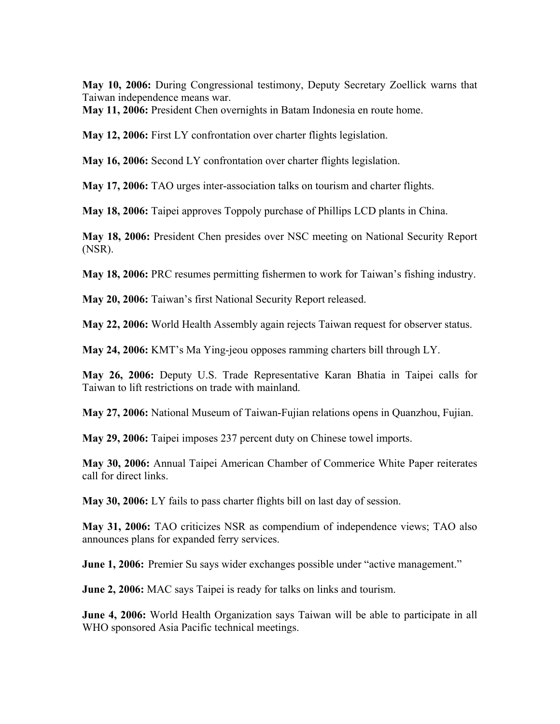**May 10, 2006:** During Congressional testimony, Deputy Secretary Zoellick warns that Taiwan independence means war.

**May 11, 2006:** President Chen overnights in Batam Indonesia en route home.

**May 12, 2006:** First LY confrontation over charter flights legislation.

**May 16, 2006:** Second LY confrontation over charter flights legislation.

**May 17, 2006:** TAO urges inter-association talks on tourism and charter flights.

**May 18, 2006:** Taipei approves Toppoly purchase of Phillips LCD plants in China.

**May 18, 2006:** President Chen presides over NSC meeting on National Security Report (NSR).

**May 18, 2006:** PRC resumes permitting fishermen to work for Taiwan's fishing industry.

**May 20, 2006:** Taiwan's first National Security Report released.

**May 22, 2006:** World Health Assembly again rejects Taiwan request for observer status.

**May 24, 2006:** KMT's Ma Ying-jeou opposes ramming charters bill through LY.

**May 26, 2006:** Deputy U.S. Trade Representative Karan Bhatia in Taipei calls for Taiwan to lift restrictions on trade with mainland.

**May 27, 2006:** National Museum of Taiwan-Fujian relations opens in Quanzhou, Fujian.

**May 29, 2006:** Taipei imposes 237 percent duty on Chinese towel imports.

**May 30, 2006:** Annual Taipei American Chamber of Commerice White Paper reiterates call for direct links.

**May 30, 2006:** LY fails to pass charter flights bill on last day of session.

**May 31, 2006:** TAO criticizes NSR as compendium of independence views; TAO also announces plans for expanded ferry services.

**June 1, 2006:** Premier Su says wider exchanges possible under "active management."

**June 2, 2006:** MAC says Taipei is ready for talks on links and tourism.

**June 4, 2006:** World Health Organization says Taiwan will be able to participate in all WHO sponsored Asia Pacific technical meetings.